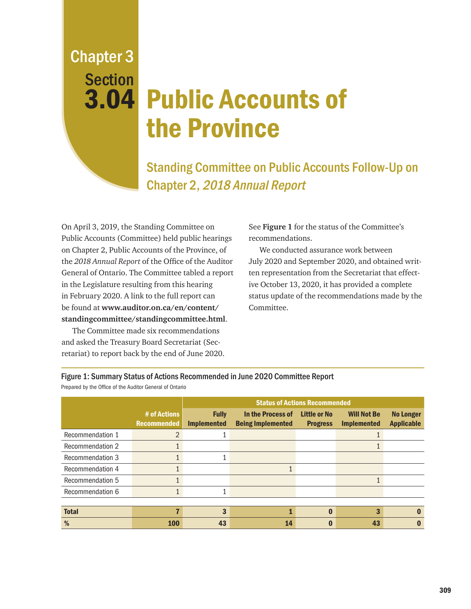Chapter 3 **Section** 

## 3.04 Public Accounts of the Province

Standing Committee on Public Accounts Follow-Up on Chapter 2, 2018 Annual Report

On April 3, 2019, the Standing Committee on Public Accounts (Committee) held public hearings on Chapter 2, Public Accounts of the Province, of the *2018 Annual Report* of the Office of the Auditor General of Ontario. The Committee tabled a report in the Legislature resulting from this hearing in February 2020. A link to the full report can be found at **www.auditor.on.ca/en/content/ standingcommittee/standingcommittee.html**.

The Committee made six recommendations and asked the Treasury Board Secretariat (Secretariat) to report back by the end of June 2020.

See **Figure 1** for the status of the Committee's recommendations.

We conducted assurance work between July 2020 and September 2020, and obtained written representation from the Secretariat that effective October 13, 2020, it has provided a complete status update of the recommendations made by the Committee.

| Prepared by the Office of the Auditor General of Ontario |                                    |                                      |                                               |                                        |                                          |                                       |  |
|----------------------------------------------------------|------------------------------------|--------------------------------------|-----------------------------------------------|----------------------------------------|------------------------------------------|---------------------------------------|--|
|                                                          |                                    | <b>Status of Actions Recommended</b> |                                               |                                        |                                          |                                       |  |
|                                                          | # of Actions<br><b>Recommended</b> | <b>Fully</b><br><b>Implemented</b>   | In the Process of<br><b>Being Implemented</b> | <b>Little or No</b><br><b>Progress</b> | <b>Will Not Be</b><br><b>Implemented</b> | <b>No Longer</b><br><b>Applicable</b> |  |
| Recommendation 1                                         | 2                                  |                                      |                                               |                                        |                                          |                                       |  |
| Recommendation 2                                         |                                    |                                      |                                               |                                        |                                          |                                       |  |
| Recommendation 3                                         |                                    |                                      |                                               |                                        |                                          |                                       |  |
| Recommendation 4                                         |                                    |                                      |                                               |                                        |                                          |                                       |  |
| Recommendation 5                                         |                                    |                                      |                                               |                                        |                                          |                                       |  |
| Recommendation 6                                         |                                    |                                      |                                               |                                        |                                          |                                       |  |
|                                                          |                                    |                                      |                                               |                                        |                                          |                                       |  |
| <b>Total</b>                                             | 7                                  | 3                                    |                                               | $\bf{0}$                               | 3                                        | O                                     |  |
| %                                                        | <b>100</b>                         | 43                                   | 14                                            | $\bf{0}$                               | 43                                       |                                       |  |

Figure 1: Summary Status of Actions Recommended in June 2020 Committee Report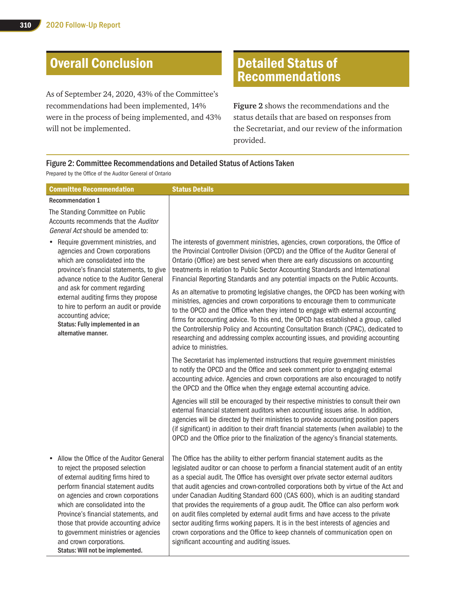## Overall Conclusion

As of September 24, 2020, 43% of the Committee's recommendations had been implemented, 14% were in the process of being implemented, and 43% will not be implemented.

## Detailed Status of Recommendations

**Figure 2** shows the recommendations and the status details that are based on responses from the Secretariat, and our review of the information provided.

## Figure 2: Committee Recommendations and Detailed Status of Actions Taken Prepared by the Office of the Auditor General of Ontario

| <b>Committee Recommendation</b>                                                                                                                                                                                                                                                                                                                                                                                                       | <b>Status Details</b>                                                                                                                                                                                                                                                                                                                                                                                                                                                                                                                                                                                                                                                                                                                                                                                                                                                                                                                                                           |
|---------------------------------------------------------------------------------------------------------------------------------------------------------------------------------------------------------------------------------------------------------------------------------------------------------------------------------------------------------------------------------------------------------------------------------------|---------------------------------------------------------------------------------------------------------------------------------------------------------------------------------------------------------------------------------------------------------------------------------------------------------------------------------------------------------------------------------------------------------------------------------------------------------------------------------------------------------------------------------------------------------------------------------------------------------------------------------------------------------------------------------------------------------------------------------------------------------------------------------------------------------------------------------------------------------------------------------------------------------------------------------------------------------------------------------|
| <b>Recommendation 1</b>                                                                                                                                                                                                                                                                                                                                                                                                               |                                                                                                                                                                                                                                                                                                                                                                                                                                                                                                                                                                                                                                                                                                                                                                                                                                                                                                                                                                                 |
| The Standing Committee on Public<br>Accounts recommends that the Auditor<br>General Act should be amended to:                                                                                                                                                                                                                                                                                                                         |                                                                                                                                                                                                                                                                                                                                                                                                                                                                                                                                                                                                                                                                                                                                                                                                                                                                                                                                                                                 |
| Require government ministries, and<br>٠<br>agencies and Crown corporations<br>which are consolidated into the<br>province's financial statements, to give<br>advance notice to the Auditor General<br>and ask for comment regarding<br>external auditing firms they propose<br>to hire to perform an audit or provide<br>accounting advice;<br>Status: Fully implemented in an<br>alternative manner.                                 | The interests of government ministries, agencies, crown corporations, the Office of<br>the Provincial Controller Division (OPCD) and the Office of the Auditor General of<br>Ontario (Office) are best served when there are early discussions on accounting<br>treatments in relation to Public Sector Accounting Standards and International<br>Financial Reporting Standards and any potential impacts on the Public Accounts.<br>As an alternative to promoting legislative changes, the OPCD has been working with<br>ministries, agencies and crown corporations to encourage them to communicate<br>to the OPCD and the Office when they intend to engage with external accounting<br>firms for accounting advice. To this end, the OPCD has established a group, called<br>the Controllership Policy and Accounting Consultation Branch (CPAC), dedicated to<br>researching and addressing complex accounting issues, and providing accounting<br>advice to ministries. |
|                                                                                                                                                                                                                                                                                                                                                                                                                                       | The Secretariat has implemented instructions that require government ministries<br>to notify the OPCD and the Office and seek comment prior to engaging external<br>accounting advice. Agencies and crown corporations are also encouraged to notify<br>the OPCD and the Office when they engage external accounting advice.                                                                                                                                                                                                                                                                                                                                                                                                                                                                                                                                                                                                                                                    |
|                                                                                                                                                                                                                                                                                                                                                                                                                                       | Agencies will still be encouraged by their respective ministries to consult their own<br>external financial statement auditors when accounting issues arise. In addition,<br>agencies will be directed by their ministries to provide accounting position papers<br>(if significant) in addition to their draft financial statements (when available) to the<br>OPCD and the Office prior to the finalization of the agency's financial statements.                                                                                                                                                                                                                                                                                                                                                                                                                                                                                                                             |
| Allow the Office of the Auditor General<br>$\bullet$<br>to reject the proposed selection<br>of external auditing firms hired to<br>perform financial statement audits<br>on agencies and crown corporations<br>which are consolidated into the<br>Province's financial statements, and<br>those that provide accounting advice<br>to government ministries or agencies<br>and crown corporations.<br>Status: Will not be implemented. | The Office has the ability to either perform financial statement audits as the<br>legislated auditor or can choose to perform a financial statement audit of an entity<br>as a special audit. The Office has oversight over private sector external auditors<br>that audit agencies and crown-controlled corporations both by virtue of the Act and<br>under Canadian Auditing Standard 600 (CAS 600), which is an auditing standard<br>that provides the requirements of a group audit. The Office can also perform work<br>on audit files completed by external audit firms and have access to the private<br>sector auditing firms working papers. It is in the best interests of agencies and<br>crown corporations and the Office to keep channels of communication open on<br>significant accounting and auditing issues.                                                                                                                                                 |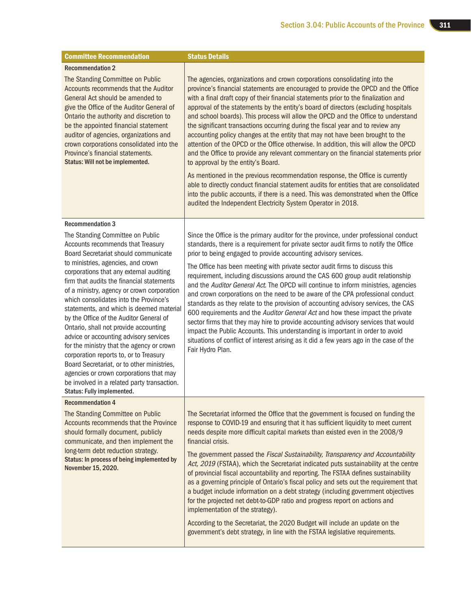| <b>Committee Recommendation</b>                                                                                                                                                                                                                                                                                                                                                                                                                                                                                                                                                                                                                                                                                                                                                                       | <b>Status Details</b>                                                                                                                                                                                                                                                                                                                                                                                                                                                                                                                                                                                                                                                                                                                                                                                                                                                                                                                                                                                                                                  |  |  |
|-------------------------------------------------------------------------------------------------------------------------------------------------------------------------------------------------------------------------------------------------------------------------------------------------------------------------------------------------------------------------------------------------------------------------------------------------------------------------------------------------------------------------------------------------------------------------------------------------------------------------------------------------------------------------------------------------------------------------------------------------------------------------------------------------------|--------------------------------------------------------------------------------------------------------------------------------------------------------------------------------------------------------------------------------------------------------------------------------------------------------------------------------------------------------------------------------------------------------------------------------------------------------------------------------------------------------------------------------------------------------------------------------------------------------------------------------------------------------------------------------------------------------------------------------------------------------------------------------------------------------------------------------------------------------------------------------------------------------------------------------------------------------------------------------------------------------------------------------------------------------|--|--|
| <b>Recommendation 2</b><br>The Standing Committee on Public<br>Accounts recommends that the Auditor<br>General Act should be amended to<br>give the Office of the Auditor General of<br>Ontario the authority and discretion to<br>be the appointed financial statement<br>auditor of agencies, organizations and<br>crown corporations consolidated into the                                                                                                                                                                                                                                                                                                                                                                                                                                         | The agencies, organizations and crown corporations consolidating into the<br>province's financial statements are encouraged to provide the OPCD and the Office<br>with a final draft copy of their financial statements prior to the finalization and<br>approval of the statements by the entity's board of directors (excluding hospitals<br>and school boards). This process will allow the OPCD and the Office to understand<br>the significant transactions occurring during the fiscal year and to review any<br>accounting policy changes at the entity that may not have been brought to the<br>attention of the OPCD or the Office otherwise. In addition, this will allow the OPCD                                                                                                                                                                                                                                                                                                                                                           |  |  |
| Province's financial statements.<br>Status: Will not be implemented.                                                                                                                                                                                                                                                                                                                                                                                                                                                                                                                                                                                                                                                                                                                                  | and the Office to provide any relevant commentary on the financial statements prior<br>to approval by the entity's Board.<br>As mentioned in the previous recommendation response, the Office is currently<br>able to directly conduct financial statement audits for entities that are consolidated<br>into the public accounts, if there is a need. This was demonstrated when the Office<br>audited the Independent Electricity System Operator in 2018.                                                                                                                                                                                                                                                                                                                                                                                                                                                                                                                                                                                            |  |  |
| <b>Recommendation 3</b><br>The Standing Committee on Public<br>Accounts recommends that Treasury<br>Board Secretariat should communicate<br>to ministries, agencies, and crown<br>corporations that any external auditing<br>firm that audits the financial statements<br>of a ministry, agency or crown corporation<br>which consolidates into the Province's<br>statements, and which is deemed material<br>by the Office of the Auditor General of<br>Ontario, shall not provide accounting<br>advice or accounting advisory services<br>for the ministry that the agency or crown<br>corporation reports to, or to Treasury<br>Board Secretariat, or to other ministries,<br>agencies or crown corporations that may<br>be involved in a related party transaction.<br>Status: Fully implemented. | Since the Office is the primary auditor for the province, under professional conduct<br>standards, there is a requirement for private sector audit firms to notify the Office<br>prior to being engaged to provide accounting advisory services.<br>The Office has been meeting with private sector audit firms to discuss this<br>requirement, including discussions around the CAS 600 group audit relationship<br>and the Auditor General Act. The OPCD will continue to inform ministries, agencies<br>and crown corporations on the need to be aware of the CPA professional conduct<br>standards as they relate to the provision of accounting advisory services, the CAS<br>600 requirements and the Auditor General Act and how these impact the private<br>sector firms that they may hire to provide accounting advisory services that would<br>impact the Public Accounts. This understanding is important in order to avoid<br>situations of conflict of interest arising as it did a few years ago in the case of the<br>Fair Hydro Plan. |  |  |
| <b>Recommendation 4</b><br>The Standing Committee on Public<br>Accounts recommends that the Province<br>should formally document, publicly<br>communicate, and then implement the<br>long-term debt reduction strategy.<br>Status: In process of being implemented by<br>November 15, 2020.                                                                                                                                                                                                                                                                                                                                                                                                                                                                                                           | The Secretariat informed the Office that the government is focused on funding the<br>response to COVID-19 and ensuring that it has sufficient liquidity to meet current<br>needs despite more difficult capital markets than existed even in the 2008/9<br>financial crisis.<br>The government passed the Fiscal Sustainability, Transparency and Accountability<br>Act, 2019 (FSTAA), which the Secretariat indicated puts sustainability at the centre<br>of provincial fiscal accountability and reporting. The FSTAA defines sustainability<br>as a governing principle of Ontario's fiscal policy and sets out the requirement that<br>a budget include information on a debt strategy (including government objectives<br>for the projected net debt-to-GDP ratio and progress report on actions and<br>implementation of the strategy).<br>According to the Secretariat, the 2020 Budget will include an update on the<br>government's debt strategy, in line with the FSTAA legislative requirements.                                          |  |  |